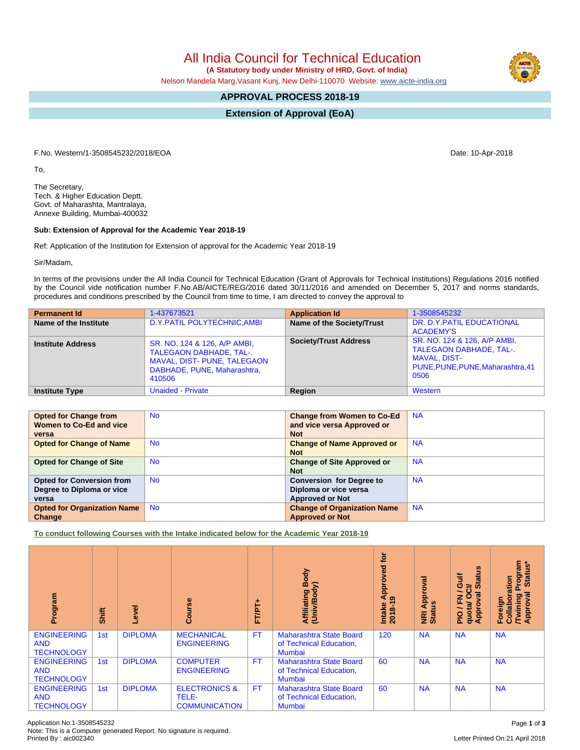TALEGAON DABHADE, TAL-. MAVAL, DIST- PUNE, TALEGAON DABHADE, PUNE, Maharashtra,

| <b>Opted for Change from</b>       | <b>No</b> | <b>Change from Women to Co-Ed</b>  | <b>NA</b> |
|------------------------------------|-----------|------------------------------------|-----------|
| Women to Co-Ed and vice            |           | and vice versa Approved or         |           |
| versa                              |           | <b>Not</b>                         |           |
| <b>Opted for Change of Name</b>    | <b>No</b> | <b>Change of Name Approved or</b>  | <b>NA</b> |
|                                    |           | <b>Not</b>                         |           |
| <b>Opted for Change of Site</b>    | <b>No</b> | <b>Change of Site Approved or</b>  | <b>NA</b> |
|                                    |           | <b>Not</b>                         |           |
| <b>Opted for Conversion from</b>   | <b>No</b> | <b>Conversion for Degree to</b>    | <b>NA</b> |
| Degree to Diploma or vice          |           | Diploma or vice versa              |           |
| versa                              |           | <b>Approved or Not</b>             |           |
| <b>Opted for Organization Name</b> | <b>No</b> | <b>Change of Organization Name</b> | <b>NA</b> |
| Change                             |           | <b>Approved or Not</b>             |           |
|                                    |           |                                    |           |

**To conduct following Courses with the Intake indicated below for the Academic Year 2018-19**

| Program                                               | Shift | g              | rse<br>ဒ္ပိ                                               | FT/PT+    | Body<br>Affiliating Book                                                   | <b>jo</b><br>yed<br>ō<br>윤<br>⋜<br>$\sigma$<br>Intake<br>2018-1 | ड़<br>Appr<br><b>NRI Ap</b><br>Status | $\frac{6}{2}$<br>Gulf<br>ಸ<br>≃<br>$\boldsymbol{\omega}$<br>ပ<br>∽<br>٥<br>$\sigma$<br>준<br>quotal<br><b>Appro</b><br>음 | 'rogram<br>Status*<br>Prog<br>oration<br>हु<br>Ξ<br>Foreign<br>٥<br>$\bar{\mathbf{e}}$<br>Fwire<br>Appr<br>$\bar{5}$ |
|-------------------------------------------------------|-------|----------------|-----------------------------------------------------------|-----------|----------------------------------------------------------------------------|-----------------------------------------------------------------|---------------------------------------|-------------------------------------------------------------------------------------------------------------------------|----------------------------------------------------------------------------------------------------------------------|
| <b>ENGINEERING</b><br><b>AND</b><br><b>TECHNOLOGY</b> | 1st   | <b>DIPLOMA</b> | <b>MECHANICAL</b><br><b>ENGINEERING</b>                   | <b>FT</b> | <b>Maharashtra State Board</b><br>of Technical Education,<br><b>Mumbai</b> | 120                                                             | <b>NA</b>                             | <b>NA</b>                                                                                                               | <b>NA</b>                                                                                                            |
| <b>ENGINEERING</b><br><b>AND</b><br><b>TECHNOLOGY</b> | 1st   | <b>DIPLOMA</b> | <b>COMPUTER</b><br><b>ENGINEERING</b>                     | <b>FT</b> | <b>Maharashtra State Board</b><br>of Technical Education,<br><b>Mumbai</b> | 60                                                              | <b>NA</b>                             | <b>NA</b>                                                                                                               | <b>NA</b>                                                                                                            |
| <b>ENGINEERING</b><br><b>AND</b><br><b>TECHNOLOGY</b> | 1st   | <b>DIPLOMA</b> | <b>ELECTRONICS &amp;</b><br>TELE-<br><b>COMMUNICATION</b> | <b>FT</b> | <b>Maharashtra State Board</b><br>of Technical Education,<br><b>Mumbai</b> | 60                                                              | <b>NA</b>                             | <b>NA</b>                                                                                                               | <b>NA</b>                                                                                                            |

To,

The Secretary, Tech. & Higher Education Deptt. Govt. of Maharashta, Mantralaya, Annexe Building, Mumbai-400032

## **Sub: Extension of Approval for the Academic Year 2018-19**

**Institute Address** SR. NO. 124 & 126, A/P AMBI,

410506

Ref: Application of the Institution for Extension of approval for the Academic Year 2018-19

Sir/Madam,

In terms of the provisions under the All India Council for Technical Education (Grant of Approvals for Technical Institutions) Regulations 2016 notified by the Council vide notification number F.No.AB/AICTE/REG/2016 dated 30/11/2016 and amended on December 5, 2017 and norms standards, procedures and conditions prescribed by the Council from time to time, I am directed to convey the approval to

**Permanent Id** 1-437673521 **Application Id** 1-3508545232<br> **Name of the Institute** D.Y.PATIL POLYTECHNIC,AMBI **Name of the Society/Trust** DR. D.Y.PATIL EDUCATIONAL **D.Y.PATIL POLYTECHNIC,AMBI Name of the Society/Trust** 

**Institute Type <b>Constitute Type I** Unaided - Private **Region Region Region** Western

| F.No. Western/1-3508545232/2018/EOA | Date: 10-Apr-2018 |
|-------------------------------------|-------------------|
|                                     |                   |

All India Council for Technical Education

 **(A Statutory body under Ministry of HRD, Govt. of India)**

Nelson Mandela Marg,Vasant Kunj, New Delhi-110070 Website: [www.aicte-india.org](http://www.aicte-india.org)

## **APPROVAL PROCESS 2018-19**

**Extension of Approval (EoA)**

ACADEMY'S

MAVAL, DIST-

0506

TALEGAON DABHADE, TAL-.

PUNE,PUNE,PUNE,Maharashtra,41

Society/Trust Address SR. NO. 124 & 126, A/P AMBI,

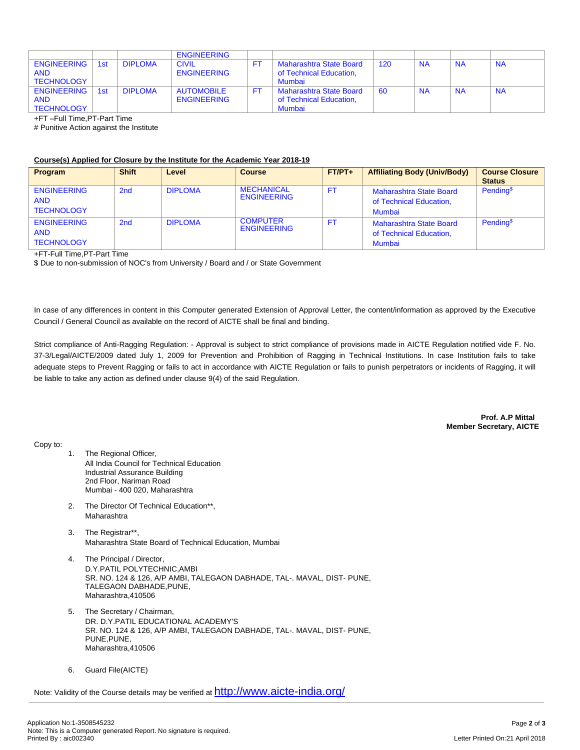|                    |     |                | <b>ENGINEERING</b> |     |                         |     |           |           |           |
|--------------------|-----|----------------|--------------------|-----|-------------------------|-----|-----------|-----------|-----------|
| <b>ENGINEERING</b> | 1st | <b>DIPLOMA</b> | <b>CIVIL</b>       |     | Maharashtra State Board | 120 | <b>NA</b> | <b>NA</b> | <b>NA</b> |
| <b>AND</b>         |     |                | <b>ENGINEERING</b> |     | of Technical Education. |     |           |           |           |
| <b>TECHNOLOGY</b>  |     |                |                    |     | Mumbai                  |     |           |           |           |
| <b>ENGINEERING</b> | 1st | <b>DIPLOMA</b> | <b>AUTOMOBILE</b>  | FT. | Maharashtra State Board | 60  | <b>NA</b> | <b>NA</b> | <b>NA</b> |
| <b>AND</b>         |     |                | <b>ENGINEERING</b> |     | of Technical Education, |     |           |           |           |
| <b>TECHNOLOGY</b>  |     |                |                    |     | Mumbai                  |     |           |           |           |

+FT –Full Time,PT-Part Time

# Punitive Action against the Institute

## **Course(s) Applied for Closure by the Institute for the Academic Year 2018-19**

| Program                                               | <b>Shift</b> | Level          | <b>Course</b>                           | $FT/PT+$ | <b>Affiliating Body (Univ/Body)</b>                                 | <b>Course Closure</b><br><b>Status</b> |
|-------------------------------------------------------|--------------|----------------|-----------------------------------------|----------|---------------------------------------------------------------------|----------------------------------------|
| <b>ENGINEERING</b><br><b>AND</b><br><b>TECHNOLOGY</b> | 2nd          | <b>DIPLOMA</b> | <b>MECHANICAL</b><br><b>ENGINEERING</b> | FT.      | <b>Maharashtra State Board</b><br>of Technical Education,<br>Mumbai | Pending <sup>\$</sup>                  |
| <b>ENGINEERING</b><br><b>AND</b><br><b>TECHNOLOGY</b> | 2nd          | <b>DIPLOMA</b> | <b>COMPUTER</b><br><b>ENGINEERING</b>   | FT.      | <b>Maharashtra State Board</b><br>of Technical Education.<br>Mumbai | Pending <sup>\$</sup>                  |

+FT-Full Time,PT-Part Time

\$ Due to non-submission of NOC's from University / Board and / or State Government

In case of any differences in content in this Computer generated Extension of Approval Letter, the content/information as approved by the Executive Council / General Council as available on the record of AICTE shall be final and binding.

Strict compliance of Anti-Ragging Regulation: - Approval is subject to strict compliance of provisions made in AICTE Regulation notified vide F. No. 37-3/Legal/AICTE/2009 dated July 1, 2009 for Prevention and Prohibition of Ragging in Technical Institutions. In case Institution fails to take adequate steps to Prevent Ragging or fails to act in accordance with AICTE Regulation or fails to punish perpetrators or incidents of Ragging, it will be liable to take any action as defined under clause 9(4) of the said Regulation.

> **Prof. A.P Mittal Member Secretary, AICTE**

Copy to:

- 1. The Regional Officer, All India Council for Technical Education Industrial Assurance Building 2nd Floor, Nariman Road Mumbai - 400 020, Maharashtra
- 2. The Director Of Technical Education\*\*, Maharashtra
- 3. The Registrar\*\*, Maharashtra State Board of Technical Education, Mumbai
- 4. The Principal / Director, D.Y.PATIL POLYTECHNIC,AMBI SR. NO. 124 & 126, A/P AMBI, TALEGAON DABHADE, TAL-. MAVAL, DIST- PUNE, TALEGAON DABHADE,PUNE, Maharashtra,410506
- 5. The Secretary / Chairman, DR. D.Y.PATIL EDUCATIONAL ACADEMY'S SR. NO. 124 & 126, A/P AMBI, TALEGAON DABHADE, TAL-. MAVAL, DIST- PUNE, PUNE,PUNE, Maharashtra,410506
- 6. Guard File(AICTE)

Note: Validity of the Course details may be verified at <http://www.aicte-india.org/>